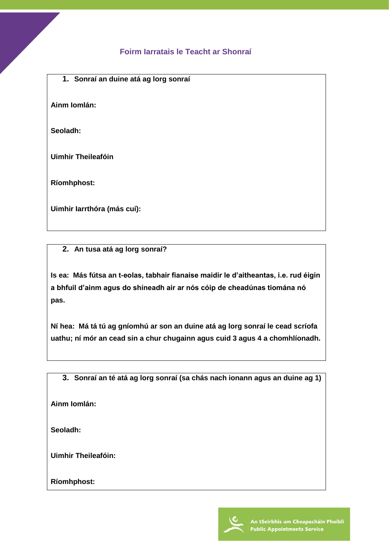## **Foirm Iarratais le Teacht ar Shonraí**

**1. Sonraí an duine atá ag lorg sonraí**

**Ainm Iomlán:**

**Seoladh:**

**Uimhir Theileafóin**

**Ríomhphost:**

**Uimhir Iarrthóra (más cuí):**

**2. An tusa atá ag lorg sonraí?**

**Is ea: Más fútsa an t-eolas, tabhair fianaise maidir le d'aitheantas, i.e. rud éigin a bhfuil d'ainm agus do shíneadh air ar nós cóip de cheadúnas tiomána nó pas.** 

**Ní hea: Má tá tú ag gníomhú ar son an duine atá ag lorg sonraí le cead scríofa uathu; ní mór an cead sin a chur chugainn agus cuid 3 agus 4 a chomhlíonadh.** 

**3. Sonraí an té atá ag lorg sonraí (sa chás nach ionann agus an duine ag 1)**

**Ainm Iomlán:**

**Seoladh:**

**Uimhir Theileafóin:**

**Ríomhphost:**